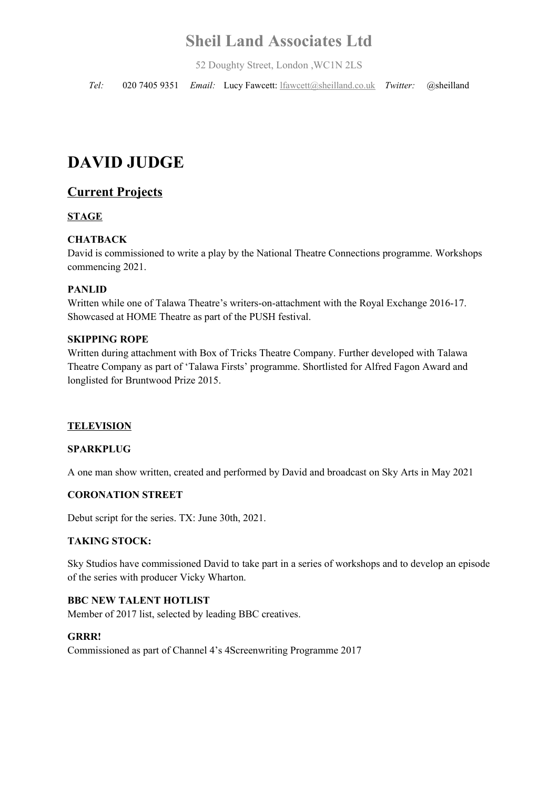# **Sheil Land Associates Ltd**

52 Doughty Street, London ,WC1N 2LS

*Tel:* 020 7405 9351 *Email:* Lucy Fawcett: lfawcett@sheilland.co.uk *Twitter:* @sheilland

# **DAVID JUDGE**

# **Current Projects**

## **STAGE**

#### **CHATBACK**

David is commissioned to write a play by the National Theatre Connections programme. Workshops commencing 2021.

#### **PANLID**

Written while one of Talawa Theatre's writers-on-attachment with the Royal Exchange 2016-17. Showcased at HOME Theatre as part of the PUSH festival.

#### **SKIPPING ROPE**

Written during attachment with Box of Tricks Theatre Company. Further developed with Talawa Theatre Company as part of 'Talawa Firsts' programme. Shortlisted for Alfred Fagon Award and longlisted for Bruntwood Prize 2015.

#### **TELEVISION**

#### **SPARKPLUG**

A one man show written, created and performed by David and broadcast on Sky Arts in May 2021

## **CORONATION STREET**

Debut script for the series. TX: June 30th, 2021.

#### **TAKING STOCK:**

Sky Studios have commissioned David to take part in a series of workshops and to develop an episode of the series with producer Vicky Wharton.

#### **BBC NEW TALENT HOTLIST**

Member of 2017 list, selected by leading BBC creatives.

#### **GRRR!**

Commissioned as part of Channel 4's 4Screenwriting Programme 2017